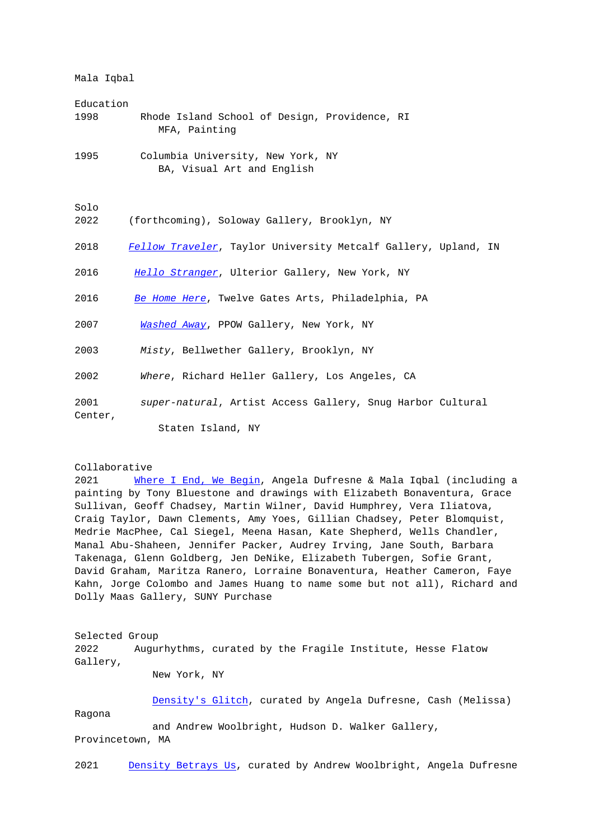Mala Iqbal

- Education 1998 Rhode Island School of Design, Providence, RI MFA, Painting
- 1995 Columbia University, New York, NY BA, Visual Art and English

Solo

- 2022 (forthcoming), Soloway Gallery, Brooklyn, NY
- 2018 Fellow Traveler, Taylor University Metcalf Gallery, Upland, IN
- 2016 Hello Stranger, Ulterior Gallery, New York, NY
- 2016 [Be Home Here](https://metcalfgallery.com/mala-iqbal/), Twelve Gates Arts, Philadelphia, PA
- 2007 [Washed Away](http://www.ulteriorgallery.com/malaiqbal-hellostranger), PPOW Gallery, New York, NY
- 2003 Misty[, Bellw](http://www.twelvegatesarts.org/exhibitions/2016/1/8/be-home-here)ether Gallery, Brooklyn, NY
- 2002 Where[, Richa](http://www.ppowgallery.com/exhibition/581/installation-view#&panel1-1)rd Heller Gallery, Los Angeles, CA

2001 super-natural, Artist Access Gallery, Snug Harbor Cultural Center,

Staten Island, NY

## Collaborative

2021 Where I End, We Begin, Angela Dufresne & Mala Iqbal (including a painting by Tony Bluestone and drawings with Elizabeth Bonaventura, Grace Sullivan, Geoff Chadsey, Martin Wilner, David Humphrey, Vera Iliatova, Craig Taylor, Dawn Clements, Amy Yoes, Gillian Chadsey, Peter Blomquist, Medrie Mac[Phee, Cal Siegel, Meen](https://www.purchase.edu/live/profiles/4835-where-i-end-we-begin-angela-dufresne-mala)a Hasan, Kate Shepherd, Wells Chandler, Manal Abu-Shaheen, Jennifer Packer, Audrey Irving, Jane South, Barbara Takenaga, Glenn Goldberg, Jen DeNike, Elizabeth Tubergen, Sofie Grant, David Graham, Maritza Ranero, Lorraine Bonaventura, Heather Cameron, Faye Kahn, Jorge Colombo and James Huang to name some but not all), Richard and Dolly Maas Gallery, SUNY Purchase

Selected Group 2022 Augurhythms, curated by the Fragile Institute, Hesse Flatow Gallery,

New York, NY

 Density's Glitch, curated by Angela Dufresne, Cash (Melissa) Ragona and Andrew Woolbright, Hudson D. Walker Gallery,

Provincetown, MA

2021 Density Betrays Us, curated by Andrew Woolbright, Angela Dufresne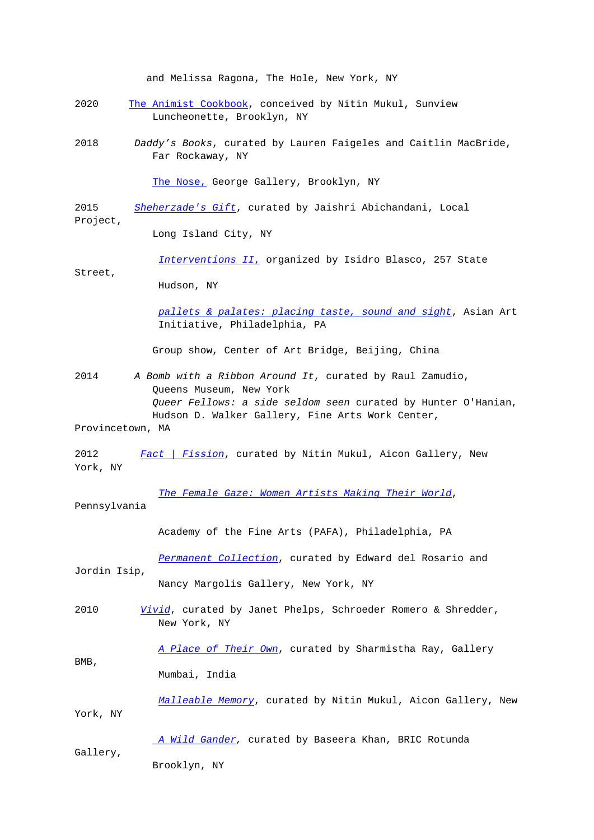and Melissa Ragona, The Hole, New York, NY

- 2020 The Animist Cookbook, conceived by Nitin Mukul, Sunview Luncheonette, Brooklyn, NY
- 2018 Daddy's Books, curated by Lauren Faigeles and Caitlin MacBride, [Far Rockaway, NY](http://www.thesunview.org/animist-cookbook/)

The Nose, George Gallery, Brooklyn, NY

2015 Sheherzade's Gift, curated by Jaishri Abichandani, Local Project,

[Long Islan](https://www.george-gallery.com/upcoming-2)d City, NY

[Interventions](http://localproject.org/2015/08/sheherzades-gift-exhibition-sept-3rd/) II, organized by Isidro Blasco, 257 State

Street,

Hudson, NY

 [pallets & palates:](https://www.facebook.com/IsidroBlascoStudio) placing taste, sound and sight, Asian Art Initiative, Philadelphia, PA

Group show, Center of Art Bridge, Beijing, China

- 2014 A Bomb with a Ribbon Around It, curated by Raul Zamudio, Queens Museum, New York Queer Fellows: a side seldom seen curated by Hunter O'Hanian, Hudson D. Walker Gallery, Fine Arts Work Center,
- Provincetown, MA

BMB,

2012 Fact | Fission, curated by Nitin Mukul, Aicon Gallery, New York, NY

The Female Gaze: Women Artists Making Their World, Pennsylvani[a](http://www.aicongallery.com/exhibitions/2012-12-06_fact-fission/)

Academy of the Fine Arts (PAFA), Philadelphia, PA

 Permanent Collection, curated by Edward del Rosario and Jordin Isip,

Nancy Margolis Gallery, New York, NY

2010 Vivid[, curated by Janet](http://nancymargolisgallery.com/?p=5648#more-5648) Phelps, Schroeder Romero & Shredder, New York, NY

A Place of Their Own, curated by Sharmistha Ray, Gallery Mumbai, India

 [Malleable Memory](http://www.gallerybmb.com/exhibition/A_PLACE_OF_THEIR_OWN/index.html), curated by Nitin Mukul, Aicon Gallery, New York, NY

 A Wild Gander, curated by Baseera Khan, BRIC Rotunda Gallery, Brooklyn, NY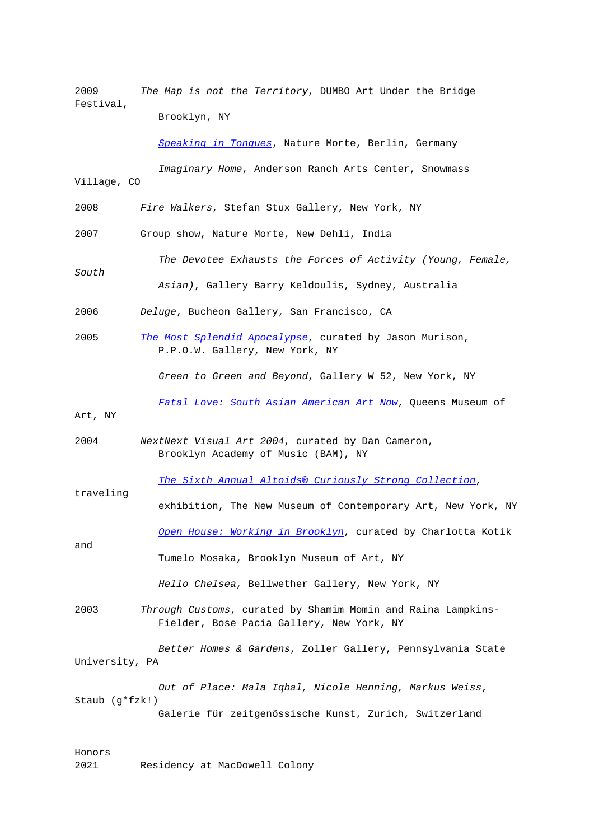2009 The Map is not the Territory, DUMBO Art Under the Bridge Festival,

Brooklyn, NY

Speaking in Tonques, Nature Morte, Berlin, Germany

 Imaginary Home, Anderson Ranch Arts Center, Snowmass Village, CO

2008 Fire Walkers, Stefan Stux Gallery, New York, NY

2007 Group show, Nature Morte, New Dehli, India

 The Devotee Exhausts the Forces of Activity (Young, Female, South Asian), Gallery Barry Keldoulis, Sydney, Australia

- 2006 Deluge, Bucheon Gallery, San Francisco, CA
- 2005 The Most Splendid Apocalypse, curated by Jason Murison, P.P.O.W. Gallery, New York, NY

Green to Green and Beyond, Gallery W 52, New York, NY

Fatal Love: South Asian American Art Now, Queens Museum of

Art, NY

traveling

2004 NextNext Visual Art 2004, curated by Dan Cameron, [Brooklyn Academy of Music \(BAM\), NY](http://www.queensmuseum.org/1730/fatal-love-south-asian-american-art-now) 

The Sixth Annual Altoids® Curiously Strong Collection,

 exhibition, The New Museum of Contemporary Art, New York, NY [Open House: Working in Brooklyn](http://archive.newmuseum.org/index.php/Detail/Occurrence/Show/occurrence_id/420), curated by Charlotta Kotik and Tumelo Mosaka, Brooklyn Museum of Art, NY

Hello Chelsea[, Bellwether Galler](http://www.brooklynmuseum.org/exhibitions/open_house/)y, New York, NY

2003 Through Customs, curated by Shamim Momin and Raina Lampkins- Fielder, Bose Pacia Gallery, New York, NY

 Better Homes & Gardens, Zoller Gallery, Pennsylvania State University, PA

 Out of Place: Mala Iqbal, Nicole Henning, Markus Weiss, Staub (g\*fzk!) Galerie für zeitgenössische Kunst, Zurich, Switzerland

## Honors

2021 Residency at MacDowell Colony